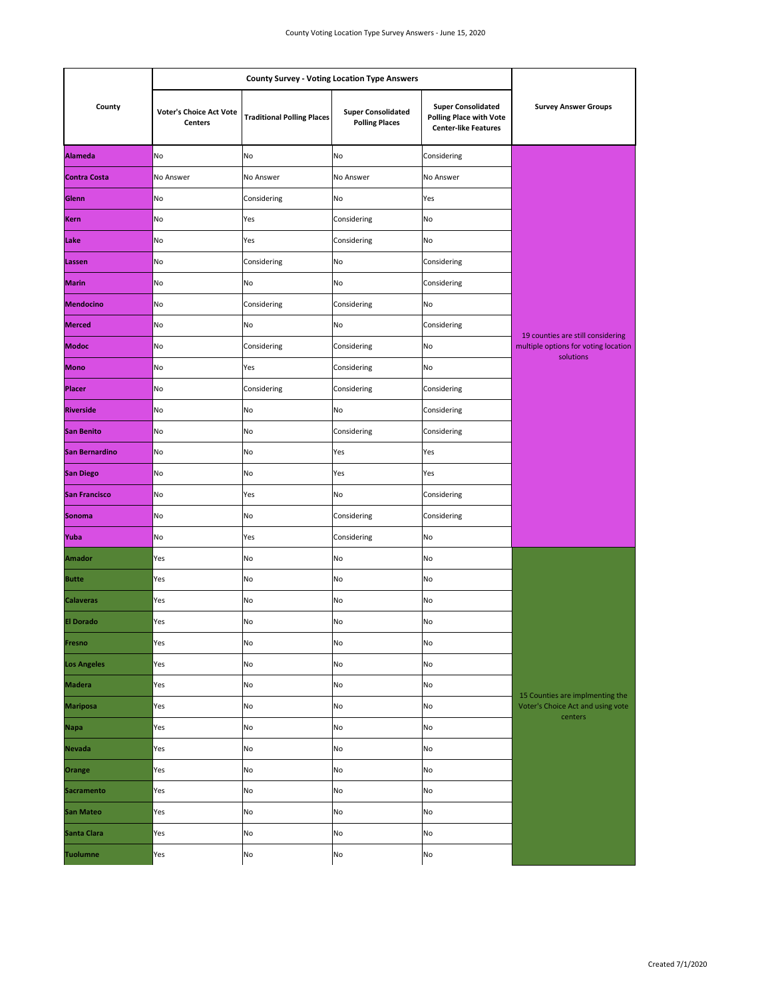| County               |                                                  |                                   |                                                    |                                                                                            |                                                                                        |
|----------------------|--------------------------------------------------|-----------------------------------|----------------------------------------------------|--------------------------------------------------------------------------------------------|----------------------------------------------------------------------------------------|
|                      | <b>Voter's Choice Act Vote</b><br><b>Centers</b> | <b>Traditional Polling Places</b> | <b>Super Consolidated</b><br><b>Polling Places</b> | <b>Super Consolidated</b><br><b>Polling Place with Vote</b><br><b>Center-like Features</b> | <b>Survey Answer Groups</b>                                                            |
| <b>Alameda</b>       | No                                               | No                                | No                                                 | Considering                                                                                | 19 counties are still considering<br>multiple options for voting location<br>solutions |
| <b>Contra Costa</b>  | No Answer                                        | No Answer                         | No Answer                                          | No Answer                                                                                  |                                                                                        |
| Glenn                | No                                               | Considering                       | No                                                 | Yes                                                                                        |                                                                                        |
| <b>Kern</b>          | No                                               | Yes                               | Considering                                        | No                                                                                         |                                                                                        |
| Lake                 | No                                               | Yes                               | Considering                                        | No                                                                                         |                                                                                        |
| Lassen               | No                                               | Considering                       | No                                                 | Considering                                                                                |                                                                                        |
| <b>Marin</b>         | No                                               | No                                | No                                                 | Considering                                                                                |                                                                                        |
| <b>Mendocino</b>     | No                                               | Considering                       | Considering                                        | No                                                                                         |                                                                                        |
| <b>Merced</b>        | No                                               | No                                | No                                                 | Considering                                                                                |                                                                                        |
| <b>Modoc</b>         | No                                               | Considering                       | Considering                                        | No                                                                                         |                                                                                        |
| <b>Mono</b>          | No                                               | Yes                               | Considering                                        | No                                                                                         |                                                                                        |
| <b>Placer</b>        | No                                               | Considering                       | Considering                                        | Considering                                                                                |                                                                                        |
| <b>Riverside</b>     | No                                               | No                                | No                                                 | Considering                                                                                |                                                                                        |
| <b>San Benito</b>    | No                                               | No                                | Considering                                        | Considering                                                                                |                                                                                        |
| San Bernardino       | No                                               | No                                | Yes                                                | Yes                                                                                        |                                                                                        |
| <b>San Diego</b>     | No                                               | No                                | Yes                                                | Yes                                                                                        |                                                                                        |
| <b>San Francisco</b> | No                                               | Yes                               | No                                                 | Considering                                                                                |                                                                                        |
| <b>Sonoma</b>        | No                                               | No                                | Considering                                        | Considering                                                                                |                                                                                        |
| Yuba                 | No                                               | Yes                               | Considering                                        | No                                                                                         |                                                                                        |
| Amador               | Yes                                              | No                                | No                                                 | No                                                                                         | 15 Counties are implmenting the<br>Voter's Choice Act and using vote<br>centers        |
| <b>Butte</b>         | Yes                                              | No                                | No                                                 | No                                                                                         |                                                                                        |
| <b>Calaveras</b>     | Yes                                              | No                                | No                                                 | No                                                                                         |                                                                                        |
| <b>El Dorado</b>     | Yes                                              | No                                | No                                                 | No                                                                                         |                                                                                        |
| Fresno               | Yes                                              | No                                | No                                                 | No                                                                                         |                                                                                        |
| <b>Los Angeles</b>   | Yes                                              | No                                | No                                                 | No                                                                                         |                                                                                        |
| <b>Madera</b>        | Yes                                              | No                                | No                                                 | No                                                                                         |                                                                                        |
| <b>Mariposa</b>      | Yes                                              | No                                | No                                                 | No                                                                                         |                                                                                        |
| <b>Napa</b>          | Yes                                              | No                                | No                                                 | No                                                                                         |                                                                                        |
| Nevada               | Yes                                              | No                                | No                                                 | No                                                                                         |                                                                                        |
| Orange               | Yes                                              | No                                | No                                                 | No                                                                                         |                                                                                        |
| <b>Sacramento</b>    | Yes                                              | No                                | No                                                 | No                                                                                         |                                                                                        |
| <b>San Mateo</b>     | Yes                                              | No                                | No                                                 | No                                                                                         |                                                                                        |
| <b>Santa Clara</b>   | Yes                                              | No                                | No                                                 | No                                                                                         |                                                                                        |
| <b>Tuolumne</b>      | Yes                                              | No                                | No                                                 | No                                                                                         |                                                                                        |